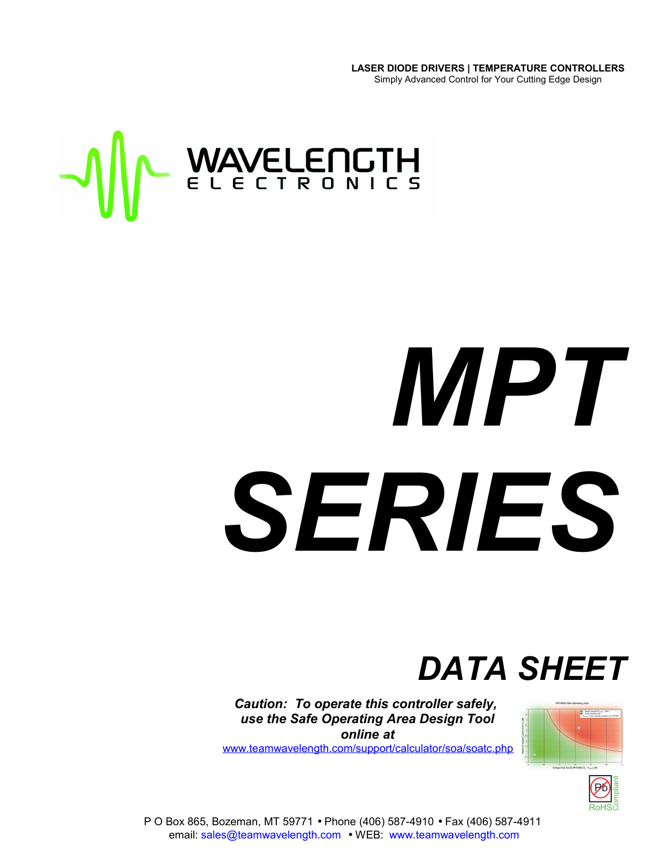**LASER DIODE DRIVERS | TEMPERATURE CONTROLLERS** Simply Advanced Control for Your Cutting Edge Design



# *MPT SERIES*

# *DATA SHEET*

*Caution: To operate this controller safely, use the Safe Operating Area Design Tool online at*

[www.teamwavelength.com/support/calculator/soa/soatc.php](http://www.teamwavelength.com/support/calculator/soa/soatc.php)





P O Box 865, Bozeman, MT 59771 • Phone (406) 587-4910 • Fax (406) 587-4911 email: sales@teamwavelength.com • WEB: www.teamwavelength.com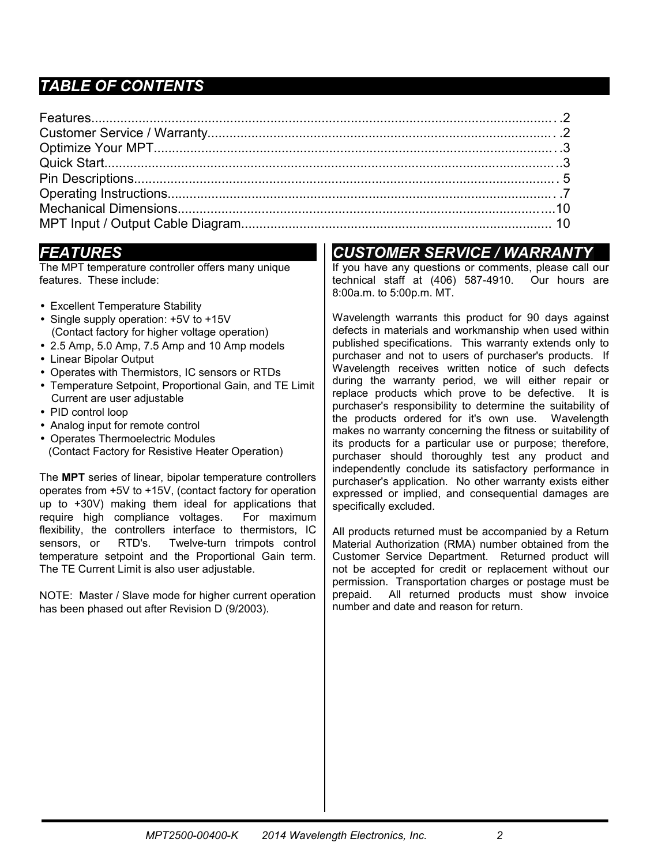# *TABLE OF CONTENTS*

# *FEATURES*

The MPT temperature controller offers many unique features. These include:

- Excellent Temperature Stability
- Single supply operation: +5V to +15V (Contact factory for higher voltage operation)
- 2.5 Amp, 5.0 Amp, 7.5 Amp and 10 Amp models
- Linear Bipolar Output
- Operates with Thermistors, IC sensors or RTDs
- Temperature Setpoint, Proportional Gain, and TE Limit Current are user adjustable
- PID control loop
- Analog input for remote control
- Operates Thermoelectric Modules (Contact Factory for Resistive Heater Operation)

The **MPT** series of linear, bipolar temperature controllers operates from +5V to +15V, (contact factory for operation up to +30V) making them ideal for applications that require high compliance voltages. For maximum flexibility, the controllers interface to thermistors, IC sensors, or RTD's. Twelve-turn trimpots control temperature setpoint and the Proportional Gain term. The TE Current Limit is also user adjustable.

NOTE: Master / Slave mode for higher current operation has been phased out after Revision D (9/2003).

# *CUSTOMER SERVICE / WARRANT*

If you have any questions or comments, please call our technical staff at (406) 587-4910. Our hours are 8:00a.m. to 5:00p.m. MT.

Wavelength warrants this product for 90 days against defects in materials and workmanship when used within published specifications. This warranty extends only to purchaser and not to users of purchaser's products. If Wavelength receives written notice of such defects during the warranty period, we will either repair or replace products which prove to be defective. It is purchaser's responsibility to determine the suitability of the products ordered for it's own use. Wavelength makes no warranty concerning the fitness or suitability of its products for a particular use or purpose; therefore, purchaser should thoroughly test any product and independently conclude its satisfactory performance in purchaser's application. No other warranty exists either expressed or implied, and consequential damages are specifically excluded.

All products returned must be accompanied by a Return Material Authorization (RMA) number obtained from the Customer Service Department. Returned product will not be accepted for credit or replacement without our permission. Transportation charges or postage must be prepaid. All returned products must show invoice number and date and reason for return.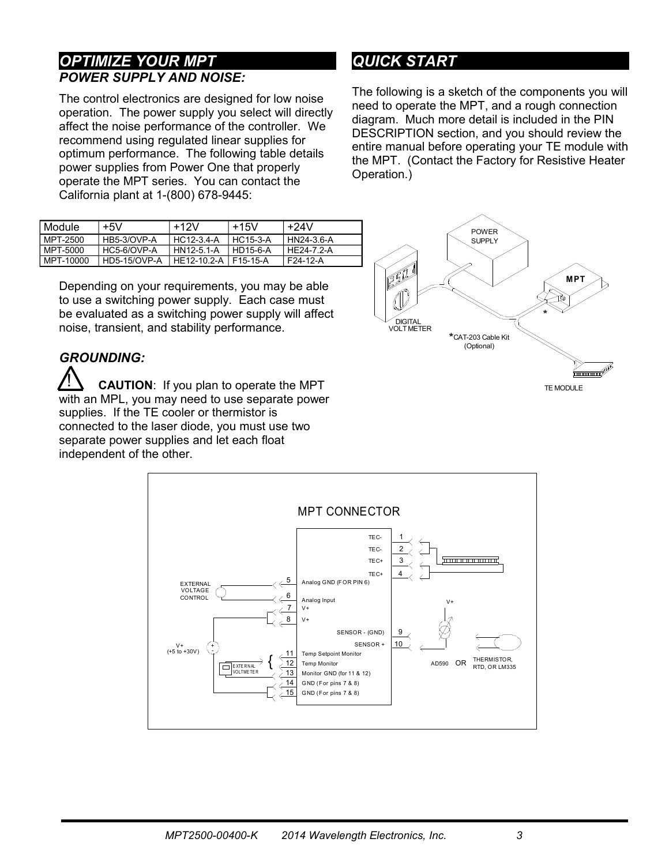#### *OPTIMIZE YOUR MPT POWER SUPPLY AND NOISE:*

The control electronics are designed for low noise operation. The power supply you select will directly affect the noise performance of the controller. We recommend using regulated linear supplies for optimum performance. The following table details power supplies from Power One that properly operate the MPT series. You can contact the California plant at 1-(800) 678-9445:

| Module    | $+5V$        | $+12V$                 | $+15V$     | +24V       |
|-----------|--------------|------------------------|------------|------------|
| MPT-2500  | HB5-3/OVP-A  | HC12-3.4-A             | HC15-3-A   | HN24-3.6-A |
| MPT-5000  | HC5-6/OVP-A  | 1 HN12-5.1-A           | l HD15-6-A | HF24-7 2-A |
| MPT-10000 | HD5-15/OVP-A | HE12-10.2-A   F15-15-A |            | I F24-12-A |

Depending on your requirements, you may be able to use a switching power supply. Each case must be evaluated as a switching power supply will affect noise, transient, and stability performance.

#### *GROUNDING:*

**CAUTION**: If you plan to operate the MPT with an MPL, you may need to use separate power supplies. If the TE cooler or thermistor is connected to the laser diode, you must use two separate power supplies and let each float independent of the other. <u>!</u>

# <span id="page-2-0"></span>*QUICK START*

The following is a sketch of the components you will need to operate the MPT, and a rough connection diagram. Much more detail is included in the PIN DESCRIPTION section, and you should review the entire manual before operating your TE module with the MPT. (Contact the Factory for Resistive Heater Operation.)



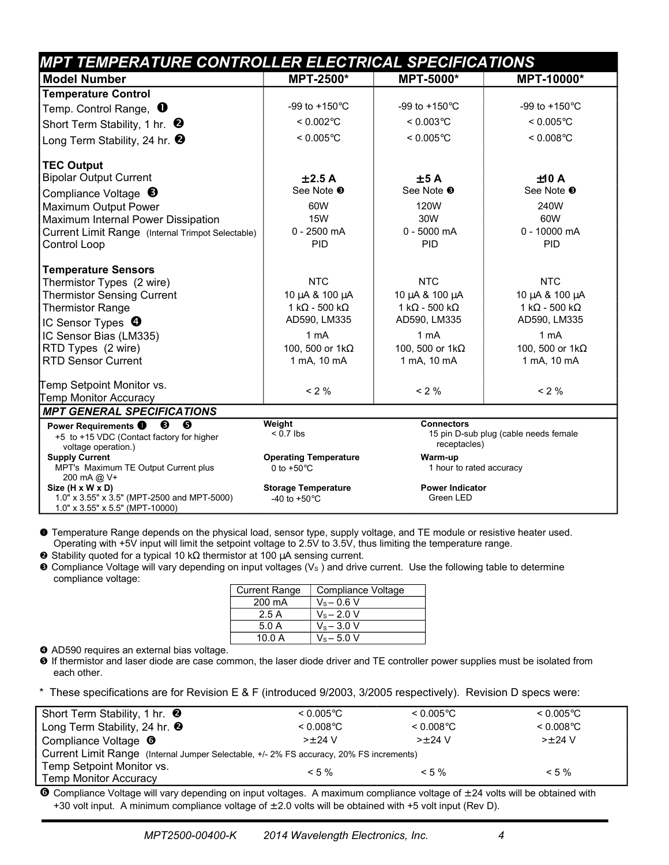| <b>MPT TEMPERATURE CONTROLLER ELECTRICAL SPECIFICATIONS</b>                                                   |                                                       |                                     |                                       |  |  |  |
|---------------------------------------------------------------------------------------------------------------|-------------------------------------------------------|-------------------------------------|---------------------------------------|--|--|--|
| <b>Model Number</b>                                                                                           | MPT-2500*                                             | <b>MPT-5000*</b>                    | MPT-10000*                            |  |  |  |
| <b>Temperature Control</b>                                                                                    |                                                       |                                     |                                       |  |  |  |
| Temp. Control Range, $\,\mathbf{0}$                                                                           | -99 to $+150^{\circ}$ C                               | -99 to $+150^{\circ}$ C             | -99 to $+150^{\circ}$ C               |  |  |  |
| Short Term Stability, 1 hr. $\bullet$                                                                         | $< 0.002$ °C                                          | $< 0.003$ °C                        | $< 0.005$ °C                          |  |  |  |
| Long Term Stability, 24 hr. $\bullet$                                                                         | $< 0.005$ °C                                          | $< 0.005$ °C                        | $< 0.008$ °C                          |  |  |  |
| <b>TEC Output</b>                                                                                             |                                                       |                                     |                                       |  |  |  |
| <b>Bipolar Output Current</b>                                                                                 | ±2.5A                                                 | ±5A                                 | ±10A                                  |  |  |  |
| Compliance Voltage $\bullet$                                                                                  | See Note <sup>®</sup>                                 | See Note <sup>®</sup>               | See Note <sup>®</sup>                 |  |  |  |
| Maximum Output Power                                                                                          | 60W                                                   | 120W                                | 240W                                  |  |  |  |
| Maximum Internal Power Dissipation                                                                            | <b>15W</b>                                            | 30W                                 | 60W                                   |  |  |  |
| Current Limit Range (Internal Trimpot Selectable)                                                             | $0 - 2500$ mA                                         | $0 - 5000$ mA                       | 0 - 10000 mA                          |  |  |  |
| Control Loop                                                                                                  | <b>PID</b>                                            | PID                                 | PID                                   |  |  |  |
| <b>Temperature Sensors</b>                                                                                    |                                                       |                                     |                                       |  |  |  |
| Thermistor Types (2 wire)                                                                                     | <b>NTC</b>                                            | <b>NTC</b>                          | <b>NTC</b>                            |  |  |  |
| <b>Thermistor Sensing Current</b>                                                                             | 10 μA & 100 μA                                        | 10 μA & 100 μA                      | 10 μA & 100 μA                        |  |  |  |
| <b>Thermistor Range</b>                                                                                       | 1 k $\Omega$ - 500 k $\Omega$                         | 1 k $\Omega$ - 500 k $\Omega$       | 1 k $\Omega$ - 500 k $\Omega$         |  |  |  |
| IC Sensor Types $\boldsymbol{\Theta}$                                                                         | AD590, LM335                                          | AD590, LM335                        | AD590, LM335                          |  |  |  |
| IC Sensor Bias (LM335)                                                                                        | 1 mA                                                  | 1 <sub>m</sub> A                    | 1 <sub>m</sub> A                      |  |  |  |
| RTD Types (2 wire)                                                                                            | 100, 500 or 1kΩ                                       | 100, 500 or 1kΩ                     | 100, 500 or 1kΩ                       |  |  |  |
| <b>RTD Sensor Current</b>                                                                                     | 1 mA, 10 mA                                           | 1 mA, 10 mA                         | 1 mA, 10 mA                           |  |  |  |
| Temp Setpoint Monitor vs.                                                                                     | $< 2 \%$                                              | $< 2 \%$                            | $< 2 \%$                              |  |  |  |
| Temp Monitor Accuracy                                                                                         |                                                       |                                     |                                       |  |  |  |
| <b>MPT GENERAL SPECIFICATIONS</b>                                                                             |                                                       |                                     |                                       |  |  |  |
| ❺<br>❸<br>Power Requirements <sup>0</sup><br>+5 to +15 VDC (Contact factory for higher<br>voltage operation.) | Weight<br>$< 0.7$ lbs                                 | <b>Connectors</b><br>receptacles)   | 15 pin D-sub plug (cable needs female |  |  |  |
| <b>Supply Current</b><br>MPT's Maximum TE Output Current plus<br>200 mA @ V+                                  | <b>Operating Temperature</b><br>0 to $+50^{\circ}$ C  | Warm-up<br>1 hour to rated accuracy |                                       |  |  |  |
| Size (H x W x D)<br>1.0" x 3.55" x 3.5" (MPT-2500 and MPT-5000)<br>1.0" x 3.55" x 5.5" (MPT-10000)            | <b>Storage Temperature</b><br>-40 to +50 $^{\circ}$ C | <b>Power Indicator</b><br>Green LED |                                       |  |  |  |

 Temperature Range depends on the physical load, sensor type, supply voltage, and TE module or resistive heater used. Operating with +5V input will limit the setpoint voltage to 2.5V to 3.5V, thus limiting the temperature range.

**Stability quoted for a typical 10 kΩ thermistor at 100 µA sensing current.** 

 $\bullet$  Compliance Voltage will vary depending on input voltages ( $V_s$ ) and drive current. Use the following table to determine compliance voltage:

| <b>Current Range</b> | Compliance Voltage |
|----------------------|--------------------|
| 200 mA               | $V_s - 0.6 V$      |
| 2.5A                 | $V_s - 2.0 V$      |
| 5.0A                 | $V_s - 3.0 V$      |
| 10.0 A               | $V_s - 5.0 V$      |

AD590 requires an external bias voltage.

 $\bullet$  If thermistor and laser diode are case common, the laser diode driver and TE controller power supplies must be isolated from each other.

These specifications are for Revision E & F (introduced 9/2003, 3/2005 respectively). Revision D specs were:

| Short Term Stability, 1 hr. <sup>9</sup>                                                | $< 0.005$ °C | $< 0.005$ °C | $< 0.005$ °C |  |  |  |
|-----------------------------------------------------------------------------------------|--------------|--------------|--------------|--|--|--|
| Long Term Stability, 24 hr. <sup>2</sup>                                                | $< 0.008$ °C | $< 0.008$ °C | $< 0.008$ °C |  |  |  |
| Compliance Voltage <sup>o</sup>                                                         | $>+ 24 V$    | $>+ 24 V$    | $>+24$ V     |  |  |  |
| Current Limit Range (Internal Jumper Selectable, +/- 2% FS accuracy, 20% FS increments) |              |              |              |  |  |  |
| Temp Setpoint Monitor vs.                                                               | $< 5 \%$     | $< 5 \%$     | $< 5 \%$     |  |  |  |
| <b>Temp Monitor Accuracy</b>                                                            |              |              |              |  |  |  |

 $\Theta$  Compliance Voltage will vary depending on input voltages. A maximum compliance voltage of  $\pm$  24 volts will be obtained with +30 volt input. A minimum compliance voltage of  $\pm 2.0$  volts will be obtained with +5 volt input (Rev D).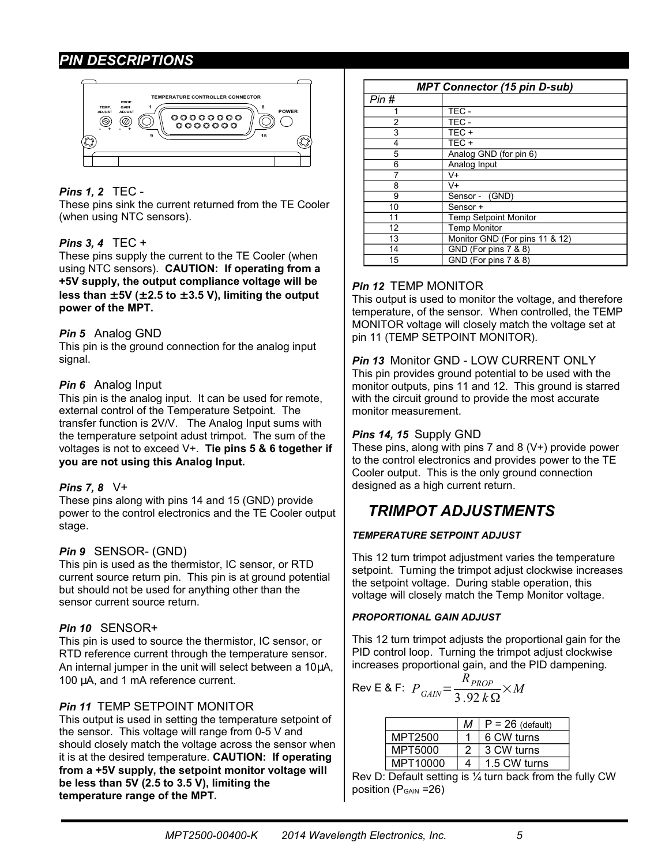#### *PIN DESCRIPTIONS*



#### *Pins 1, 2* TEC -

These pins sink the current returned from the TE Cooler (when using NTC sensors).

#### *Pins 3, 4* TEC +

These pins supply the current to the TE Cooler (when using NTC sensors). **CAUTION: If operating from a +5V supply, the output compliance voltage will be**  less than  $\pm$  5V ( $\pm$  2.5 to  $\pm$  3.5 V), limiting the output **power of the MPT.**

#### *Pin 5* Analog GND

This pin is the ground connection for the analog input signal.

#### *Pin 6* Analog Input

This pin is the analog input. It can be used for remote, external control of the Temperature Setpoint. The transfer function is 2V/V. The Analog Input sums with the temperature setpoint adust trimpot. The sum of the voltages is not to exceed V+. **Tie pins 5 & 6 together if you are not using this Analog Input.**

#### *Pins 7, 8* V+

These pins along with pins 14 and 15 (GND) provide power to the control electronics and the TE Cooler output stage.

#### *Pin 9* SENSOR- (GND)

This pin is used as the thermistor, IC sensor, or RTD current source return pin. This pin is at ground potential but should not be used for anything other than the sensor current source return.

#### *Pin 10* SENSOR+

This pin is used to source the thermistor, IC sensor, or RTD reference current through the temperature sensor. An internal jumper in the unit will select between a 10µA, 100 µA, and 1 mA reference current.

#### *Pin 11* TEMP SETPOINT MONITOR

This output is used in setting the temperature setpoint of the sensor. This voltage will range from 0-5 V and should closely match the voltage across the sensor when it is at the desired temperature. **CAUTION: If operating from a +5V supply, the setpoint monitor voltage will be less than 5V (2.5 to 3.5 V), limiting the temperature range of the MPT.**

|                             | <b>MPT Connector (15 pin D-sub)</b> |  |  |  |  |
|-----------------------------|-------------------------------------|--|--|--|--|
| Pin #                       |                                     |  |  |  |  |
|                             | TEC-                                |  |  |  |  |
| 2                           | TEC-                                |  |  |  |  |
| 3                           | TEC+                                |  |  |  |  |
| 4                           | TEC+                                |  |  |  |  |
| 5<br>Analog GND (for pin 6) |                                     |  |  |  |  |
| 6                           | Analog Input                        |  |  |  |  |
|                             | V+                                  |  |  |  |  |
| 8                           | V+                                  |  |  |  |  |
| 9                           | Sensor - (GND)                      |  |  |  |  |
| 10                          | Sensor +                            |  |  |  |  |
| 11                          | <b>Temp Setpoint Monitor</b>        |  |  |  |  |
| 12                          | <b>Temp Monitor</b>                 |  |  |  |  |
| 13                          | Monitor GND (For pins 11 & 12)      |  |  |  |  |
| 14                          | GND (For pins 7 & 8)                |  |  |  |  |
| 15                          | GND (For pins 7 & 8)                |  |  |  |  |

#### *Pin 12* TEMP MONITOR

This output is used to monitor the voltage, and therefore temperature, of the sensor. When controlled, the TEMP MONITOR voltage will closely match the voltage set at pin 11 (TEMP SETPOINT MONITOR).

*Pin 13* Monitor GND - LOW CURRENT ONLY This pin provides ground potential to be used with the monitor outputs, pins 11 and 12. This ground is starred with the circuit ground to provide the most accurate monitor measurement.

#### *Pins 14, 15* Supply GND

These pins, along with pins 7 and 8 (V+) provide power to the control electronics and provides power to the TE Cooler output. This is the only ground connection designed as a high current return.

# *TRIMPOT ADJUSTMENTS*

#### *TEMPERATURE SETPOINT ADJUST*

This 12 turn trimpot adjustment varies the temperature setpoint. Turning the trimpot adjust clockwise increases the setpoint voltage. During stable operation, this voltage will closely match the Temp Monitor voltage.

#### *PROPORTIONAL GAIN ADJUST*

This 12 turn trimpot adjusts the proportional gain for the PID control loop. Turning the trimpot adjust clockwise increases proportional gain, and the PID dampening.

$$
\text{Rev E & F: } P_{GAIN} = \frac{R_{PROP}}{3.92 \, k\,\Omega} \times M
$$

|          | м | $P = 26$ (default) |
|----------|---|--------------------|
| MPT2500  |   | 6 CW turns         |
| MPT5000  | 2 | 3 CW turns         |
| MPT10000 | 4 | 1.5 CW turns       |

Rev D: Default setting is  $\frac{1}{4}$  turn back from the fully CW position ( $P_{GAIN}$  =26)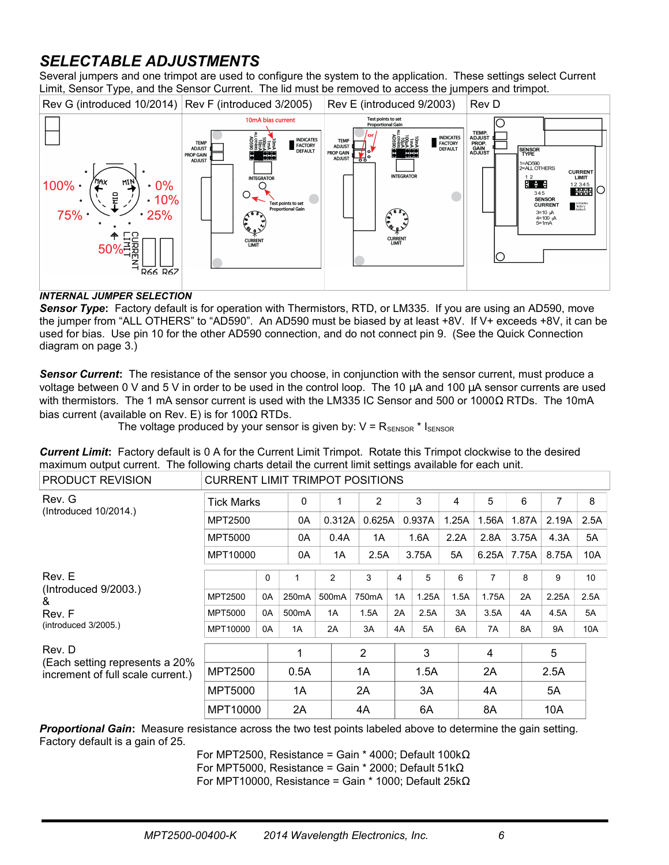# *SELECTABLE ADJUSTMENTS*

Several jumpers and one trimpot are used to configure the system to the application. These settings select Current Limit, Sensor Type, and the Sensor Current. The lid must be removed to access the jumpers and trimpot.



#### *INTERNAL JUMPER SELECTION*

*Sensor Type***:** Factory default is for operation with Thermistors, RTD, or LM335. If you are using an AD590, move the jumper from "ALL OTHERS" to "AD590". An AD590 must be biased by at least +8V. If V+ exceeds +8V, it can be used for bias. Use pin 10 for the other AD590 connection, and do not connect pin 9. (See the Quick Connection diagram on page [3.](#page-2-0))

*Sensor Current***:** The resistance of the sensor you choose, in conjunction with the sensor current, must produce a voltage between 0 V and 5 V in order to be used in the control loop. The 10 µA and 100 µA sensor currents are used with thermistors. The 1 mA sensor current is used with the LM335 IC Sensor and 500 or 1000Ω RTDs. The 10mA bias current (available on Rev. E) is for 100 $\Omega$  RTDs.

The voltage produced by your sensor is given by:  $V = R_{\text{SENSOR}} * I_{\text{SENSOR}}$ 

|                                                                                                         | <b>Current Limit:</b> Factory default is 0 A for the Current Limit Trimpot. Rotate this Trimpot clockwise to the desired |
|---------------------------------------------------------------------------------------------------------|--------------------------------------------------------------------------------------------------------------------------|
| maximum output current. The following charts detail the current limit settings available for each unit. |                                                                                                                          |

| PRODUCT REVISION                                                    | <b>CURRENT LIMIT TRIMPOT POSITIONS</b> |          |                    |                    |                |    |        |       |       |       |           |      |
|---------------------------------------------------------------------|----------------------------------------|----------|--------------------|--------------------|----------------|----|--------|-------|-------|-------|-----------|------|
| Rev. G<br>(Introduced 10/2014.)                                     | <b>Tick Marks</b>                      |          | $\mathbf{0}$       | 1                  | 2              |    | 3      | 4     | 5     | 6     | 7         | 8    |
|                                                                     | <b>MPT2500</b>                         |          | 0A                 | 0.312A             | 0.625A         |    | 0.937A | 1.25A | 1.56A | 1.87A | 2.19A     | 2.5A |
|                                                                     | MPT5000                                |          | 0A                 | 0.4A               | 1A             |    | 1.6A   | 2.2A  | 2.8A  | 3.75A | 4.3A      | 5A   |
|                                                                     | MPT10000                               |          | 0A                 | 1A                 | 2.5A           |    | 3.75A  | 5A    | 6.25A | 7.75A | 8.75A     | 10A  |
| Rev. E                                                              |                                        | $\Omega$ | 1                  | $\overline{c}$     | 3              | 4  | 5      | 6     | 7     | 8     | 9         | 10   |
| (Introduced 9/2003.)<br>&                                           | MPT2500                                | 0A       | 250 <sub>m</sub> A | 500 <sub>m</sub> A | 750mA          | 1A | 1.25A  | 1.5A  | 1.75A | 2A    | 2.25A     | 2.5A |
| Rev. F                                                              | MPT5000                                | 0A       | 500 <sub>m</sub> A | 1A                 | 1.5A           | 2A | 2.5A   | 3A    | 3.5A  | 4A    | 4.5A      | 5A   |
| $(introduced \, 3/2005.)$                                           | MPT10000                               | 0A       | 1A                 | 2A                 | 3A             | 4A | 5A     | 6A    | 7A    | 8A    | <b>9A</b> | 10A  |
| Rev. D                                                              |                                        |          | 1                  |                    | $\overline{2}$ |    | 3      |       | 4     |       | 5         |      |
| (Each setting represents a 20%<br>increment of full scale current.) | MPT2500                                |          | 0.5A               |                    | 1A             |    | 1.5A   |       | 2A    |       | 2.5A      |      |
|                                                                     | <b>MPT5000</b>                         |          | 1A                 |                    | 2A             |    | 3A     |       | 4A    |       | 5A        |      |
|                                                                     | MPT10000                               |          | 2A                 |                    | 4A             |    | 6A     |       | 8A    |       | 10A       |      |

*Proportional Gain***:** Measure resistance across the two test points labeled above to determine the gain setting. Factory default is a gain of 25.

> For MPT2500, Resistance = Gain \* 4000; Default 100k $\Omega$ For MPT5000, Resistance = Gain \* 2000; Default 51kΩ For MPT10000, Resistance = Gain \* 1000; Default 25k $\Omega$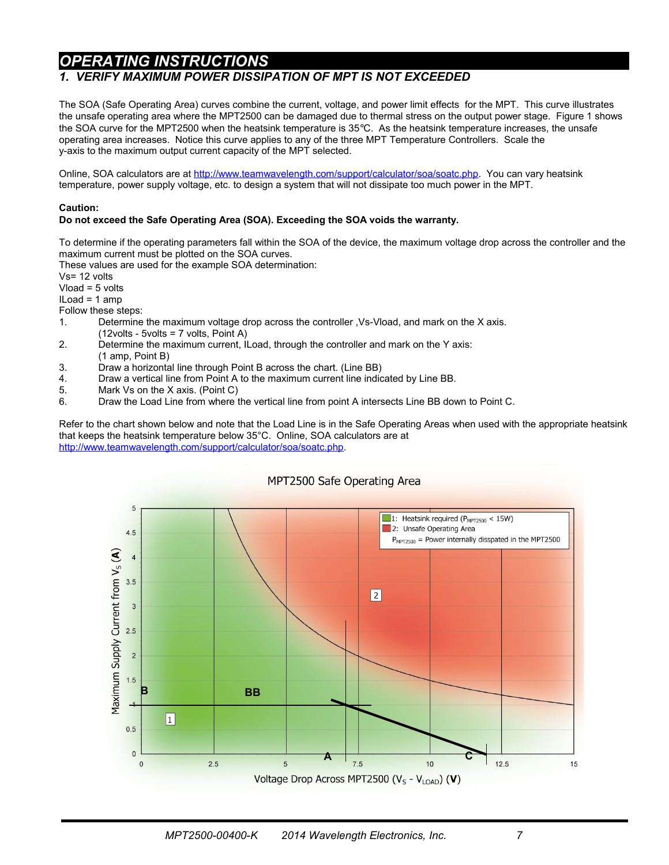### *OPERATING INSTRUCTIONS*

#### *1. VERIFY MAXIMUM POWER DISSIPATION OF MPT IS NOT EXCEEDED*

The SOA (Safe Operating Area) curves combine the current, voltage, and power limit effects for the MPT. This curve illustrates the unsafe operating area where the MPT2500 can be damaged due to thermal stress on the output power stage. Figure 1 shows the SOA curve for the MPT2500 when the heatsink temperature is 35°C. As the heatsink temperature increases, the unsafe operating area increases. Notice this curve applies to any of the three MPT Temperature Controllers. Scale the y-axis to the maximum output current capacity of the MPT selected.

Online, SOA calculators are at [http://www.teamwavelength.com/support/calculator/soa/soatc.php.](http://www.teamwavelength.com/support/calculator/soa/soatc.php) You can vary heatsink temperature, power supply voltage, etc. to design a system that will not dissipate too much power in the MPT.

#### **Caution:**

#### **Do not exceed the Safe Operating Area (SOA). Exceeding the SOA voids the warranty.**

To determine if the operating parameters fall within the SOA of the device, the maximum voltage drop across the controller and the maximum current must be plotted on the SOA curves.

These values are used for the example SOA determination:

Vs= 12 volts

Vload = 5 volts

ILoad = 1 amp

Follow these steps:

- 1. Determine the maximum voltage drop across the controller ,Vs-Vload, and mark on the X axis. (12volts - 5volts = 7 volts, Point A)
- 2. Determine the maximum current, ILoad, through the controller and mark on the Y axis: (1 amp, Point B)
- 3. Draw a horizontal line through Point B across the chart. (Line BB)
- 4. Draw a vertical line from Point A to the maximum current line indicated by Line BB.
- 5. Mark Vs on the X axis. (Point C)
- 6. Draw the Load Line from where the vertical line from point A intersects Line BB down to Point C.

Refer to the chart shown below and note that the Load Line is in the Safe Operating Areas when used with the appropriate heatsink that keeps the heatsink temperature below 35°C. Online, SOA calculators are at [http://www.teamwavelength.com/support/calculator/soa/soatc.php.](http://www.teamwavelength.com/tools/calculator/soa/defaulttc.htm)



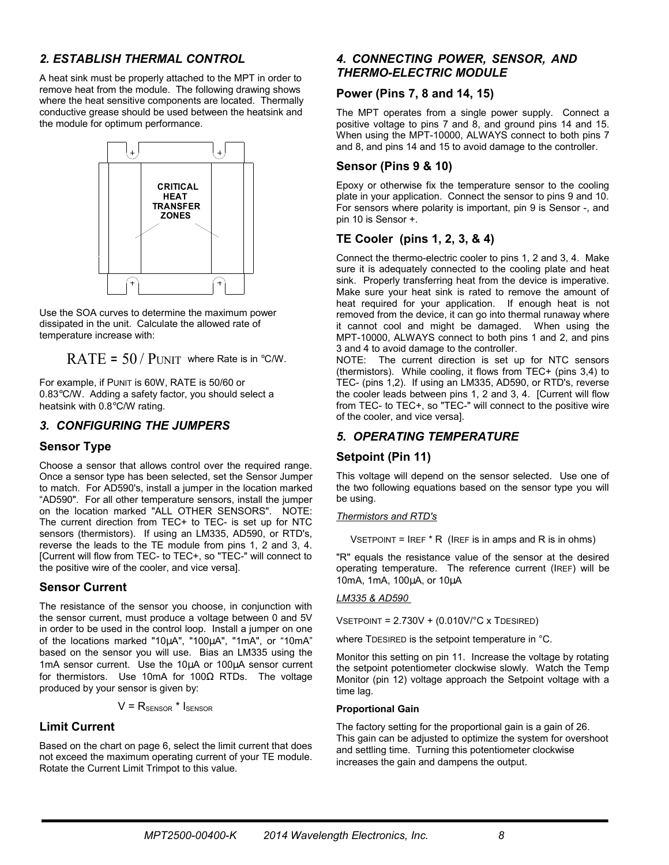#### *2. ESTABLISH THERMAL CONTROL*

A heat sink must be properly attached to the MPT in order to remove heat from the module. The following drawing shows where the heat sensitive components are located. Thermally conductive grease should be used between the heatsink and the module for optimum performance.



Use the SOA curves to determine the maximum power dissipated in the unit. Calculate the allowed rate of temperature increase with:

RATE =  $50 /$  PUNIT where Rate is in °C/W.

For example, if PUNIT is 60W, RATE is 50/60 or 0.83°C/W. Adding a safety factor, you should select a heatsink with 0.8°C/W rating.

#### *3. CONFIGURING THE JUMPERS*

#### **Sensor Type**

Choose a sensor that allows control over the required range. Once a sensor type has been selected, set the Sensor Jumper to match. For AD590's, install a jumper in the location marked "AD590". For all other temperature sensors, install the jumper on the location marked "ALL OTHER SENSORS". NOTE: The current direction from TEC+ to TEC- is set up for NTC sensors (thermistors). If using an LM335, AD590, or RTD's, reverse the leads to the TE module from pins 1, 2 and 3, 4. [Current will flow from TEC- to TEC+, so "TEC-" will connect to the positive wire of the cooler, and vice versa].

#### **Sensor Current**

The resistance of the sensor you choose, in conjunction with the sensor current, must produce a voltage between 0 and 5V in order to be used in the control loop. Install a jumper on one of the locations marked "10µA", "100µA", "1mA", or "10mA" based on the sensor you will use. Bias an LM335 using the 1mA sensor current. Use the 10µA or 100µA sensor current for thermistors. Use 10mA for 100 $\Omega$  RTDs. The voltage produced by your sensor is given by:

 $V = R_{\text{SENSOR}} * I_{\text{SENSOR}}$ 

#### **Limit Current**

Based on the chart on page 6, select the limit current that does not exceed the maximum operating current of your TE module. Rotate the Current Limit Trimpot to this value.

#### *4. CONNECTING POWER, SENSOR, AND THERMO-ELECTRIC MODULE*

#### **Power (Pins 7, 8 and 14, 15)**

The MPT operates from a single power supply. Connect a positive voltage to pins 7 and 8, and ground pins 14 and 15. When using the MPT-10000, ALWAYS connect to both pins 7 and 8, and pins 14 and 15 to avoid damage to the controller.

#### **Sensor (Pins 9 & 10)**

Epoxy or otherwise fix the temperature sensor to the cooling plate in your application. Connect the sensor to pins 9 and 10. For sensors where polarity is important, pin 9 is Sensor -, and pin 10 is Sensor +.

#### **TE Cooler (pins 1, 2, 3, & 4)**

Connect the thermo-electric cooler to pins 1, 2 and 3, 4. Make sure it is adequately connected to the cooling plate and heat sink. Properly transferring heat from the device is imperative. Make sure your heat sink is rated to remove the amount of heat required for your application. If enough heat is not removed from the device, it can go into thermal runaway where it cannot cool and might be damaged. When using the MPT-10000, ALWAYS connect to both pins 1 and 2, and pins 3 and 4 to avoid damage to the controller.

NOTE: The current direction is set up for NTC sensors (thermistors). While cooling, it flows from TEC+ (pins 3,4) to TEC- (pins 1,2). If using an LM335, AD590, or RTD's, reverse the cooler leads between pins 1, 2 and 3, 4. [Current will flow from TEC- to TEC+, so "TEC-" will connect to the positive wire of the cooler, and vice versa].

#### *5. OPERATING TEMPERATURE*

#### **Setpoint (Pin 11)**

This voltage will depend on the sensor selected. Use one of the two following equations based on the sensor type you will be using.

#### *Thermistors and RTD's*

 $V$ SETPOINT = IREF  $*$  R (IREF is in amps and R is in ohms)

"R" equals the resistance value of the sensor at the desired operating temperature. The reference current (IREF) will be 10mA, 1mA, 100µA, or 10µA

#### *LM335 & AD590*

 $V$ SETPOINT = 2.730V + (0.010V/ $^{\circ}$ C x TDESIRED)

where TDESIRED is the setpoint temperature in °C.

Monitor this setting on pin 11. Increase the voltage by rotating the setpoint potentiometer clockwise slowly. Watch the Temp Monitor (pin 12) voltage approach the Setpoint voltage with a time lag.

#### **Proportional Gain**

The factory setting for the proportional gain is a gain of 26. This gain can be adjusted to optimize the system for overshoot and settling time. Turning this potentiometer clockwise increases the gain and dampens the output.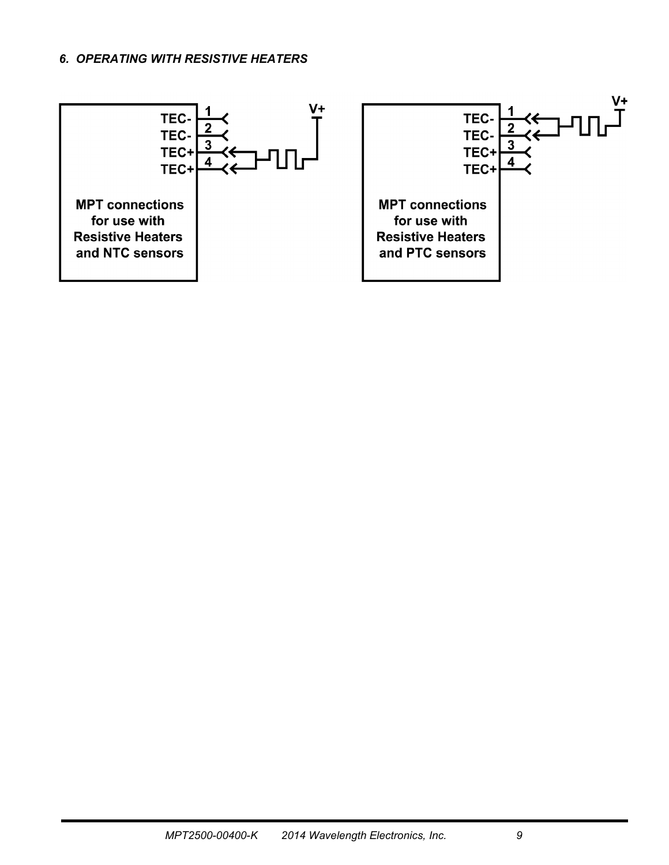#### *6. OPERATING WITH RESISTIVE HEATERS*